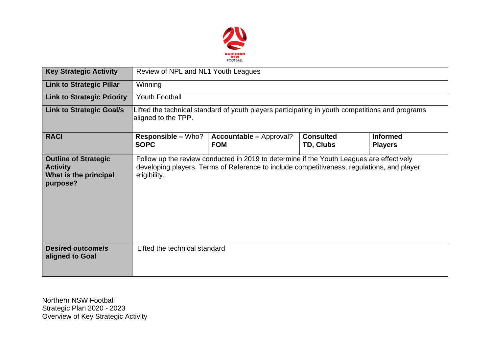

| <b>Key Strategic Activity</b>                                                       | Review of NPL and NL1 Youth Leagues                                                                                                                                                                    |                                              |                               |                                   |  |  |  |
|-------------------------------------------------------------------------------------|--------------------------------------------------------------------------------------------------------------------------------------------------------------------------------------------------------|----------------------------------------------|-------------------------------|-----------------------------------|--|--|--|
| <b>Link to Strategic Pillar</b>                                                     | <b>Winning</b>                                                                                                                                                                                         |                                              |                               |                                   |  |  |  |
| <b>Link to Strategic Priority</b>                                                   | Youth Football                                                                                                                                                                                         |                                              |                               |                                   |  |  |  |
| <b>Link to Strategic Goal/s</b>                                                     | Lifted the technical standard of youth players participating in youth competitions and programs<br>aligned to the TPP.                                                                                 |                                              |                               |                                   |  |  |  |
| <b>RACI</b>                                                                         | <b>Responsible – Who?</b><br><b>SOPC</b>                                                                                                                                                               | <b>Accountable – Approval?</b><br><b>FOM</b> | <b>Consulted</b><br>TD, Clubs | <b>Informed</b><br><b>Players</b> |  |  |  |
| <b>Outline of Strategic</b><br><b>Activity</b><br>What is the principal<br>purpose? | Follow up the review conducted in 2019 to determine if the Youth Leagues are effectively<br>developing players. Terms of Reference to include competitiveness, regulations, and player<br>eligibility. |                                              |                               |                                   |  |  |  |
| <b>Desired outcome/s</b><br>aligned to Goal                                         | Lifted the technical standard                                                                                                                                                                          |                                              |                               |                                   |  |  |  |

Northern NSW Football Strategic Plan 2020 - 2023 Overview of Key Strategic Activity